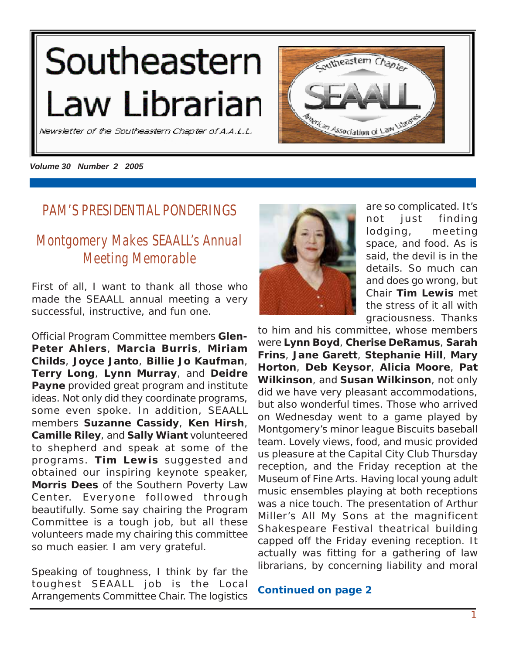# <span id="page-0-0"></span>Southeastern Law Librarian



Newsletter of the Southeastern Chapter of A.A.L.L.

*Volume 30 Number 2 2005*

### **PAM'S PRESIDENTIAL PONDERINGS**

# **Montgomery Makes SEAALL's Annual Meeting Memorable**

First of all, I want to thank all those who made the SEAALL annual meeting a very successful, instructive, and fun one.

Official Program Committee members **Glen-Peter Ahlers**, **Marcia Burris**, **Miriam Childs**, **Joyce Janto**, **Billie Jo Kaufman**, **Terry Long**, **Lynn Murray**, and **Deidre Payne** provided great program and institute ideas. Not only did they coordinate programs, some even spoke. In addition, SEAALL members **Suzanne Cassidy**, **Ken Hirsh**, **Camille Riley**, and **Sally Wiant** volunteered to shepherd and speak at some of the programs. **Tim Lewis** suggested and obtained our inspiring keynote speaker, **Morris Dees** of the Southern Poverty Law Center. Everyone followed through beautifully. Some say chairing the Program Committee is a tough job, but all these volunteers made my chairing this committee so much easier. I am very grateful.

Speaking of toughness, I think by far the toughest SEAALL job is the Local Arrangements Committee Chair. The logistics



are so complicated. It's not just finding lodging, meeting space, and food. As is said, the devil is in the details. So much can and does go wrong, but Chair **Tim Lewis** met the stress of it all with graciousness. Thanks

to him and his committee, whose members were **Lynn Boyd**, **Cherise DeRamus**, **Sarah Frins**, **Jane Garett**, **Stephanie Hill**, **Mary Horton**, **Deb Keysor**, **Alicia Moore**, **Pat Wilkinson**, and **Susan Wilkinson**, not only did we have very pleasant accommodations, but also wonderful times. Those who arrived on Wednesday went to a game played by Montgomery's minor league Biscuits baseball team. Lovely views, food, and music provided us pleasure at the Capital City Club Thursday reception, and the Friday reception at the Museum of Fine Arts. Having local young adult music ensembles playing at both receptions was a nice touch. The presentation of Arthur Miller's *All My Sons* at the magnificent Shakespeare Festival theatrical building capped off the Friday evening reception. It actually was fitting for a gathering of law librarians, by concerning liability and moral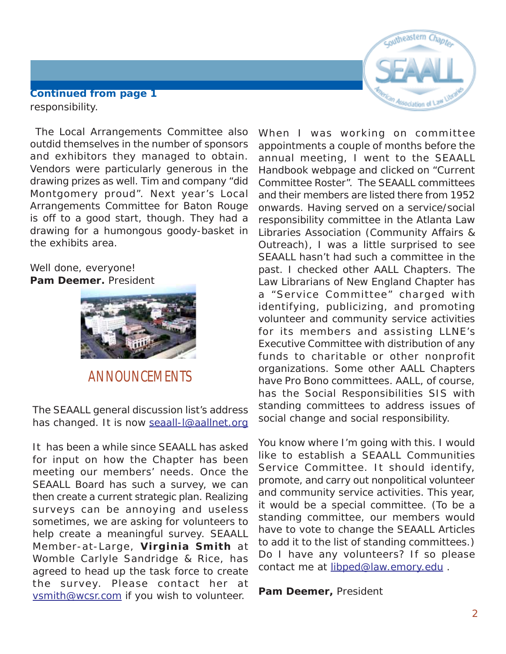

#### <span id="page-1-0"></span>responsibility. **Continued from page 1**

 The Local Arrangements Committee also outdid themselves in the number of sponsors and exhibitors they managed to obtain. Vendors were particularly generous in the drawing prizes as well. Tim and company "did Montgomery proud". Next year's Local Arrangements Committee for Baton Rouge is off to a good start, though. They had a drawing for a humongous goody-basket in the exhibits area.

#### Well done, everyone! **Pam Deemer,** President



# **ANNOUNCEMENTS**

The SEAALL general discussion list's address has changed. It is now [seaall-l@aallnet.org](mailto:seaall-l@aallnet.org||)

It has been a while since SEAALL has asked for input on how the Chapter has been meeting our members' needs. Once the SEAALL Board has such a survey, we can then create a current strategic plan. Realizing surveys can be annoying and useless sometimes, we are asking for volunteers to help create a meaningful survey. SEAALL Member-at-Large, **Virginia Smith** at Womble Carlyle Sandridge & Rice, has agreed to head up the task force to create the survey. Please contact her at [vsmith@wcsr.com i](mailto:vsmith@wcsr.com)f you wish to volunteer.

When I was working on committee appointments a couple of months before the annual meeting, I went to the SEAALL Handbook webpage and clicked on "Current Committee Roster". The SEAALL committees and their members are listed there from 1952 onwards. Having served on a service/social responsibility committee in the Atlanta Law Libraries Association (Community Affairs & Outreach), I was a little surprised to see SEAALL hasn't had such a committee in the past. I checked other AALL Chapters. The Law Librarians of New England Chapter has a "Service Committee" charged with identifying, publicizing, and promoting volunteer and community service activities for its members and assisting LLNE's Executive Committee with distribution of any funds to charitable or other nonprofit organizations. Some other AALL Chapters have Pro Bono committees. AALL, of course, has the Social Responsibilities SIS with standing committees to address issues of social change and social responsibility.

You know where I'm going with this. I would like to establish a SEAALL Communities Service Committee. It should identify, promote, and carry out nonpolitical volunteer and community service activities. This year, it would be a special committee. (To be a standing committee, our members would have to vote to change the SEAALL Articles to add it to the list of standing committees.) Do I have any volunteers? If so please contact me at libped@law.emory.edu.

**Pam Deemer,** President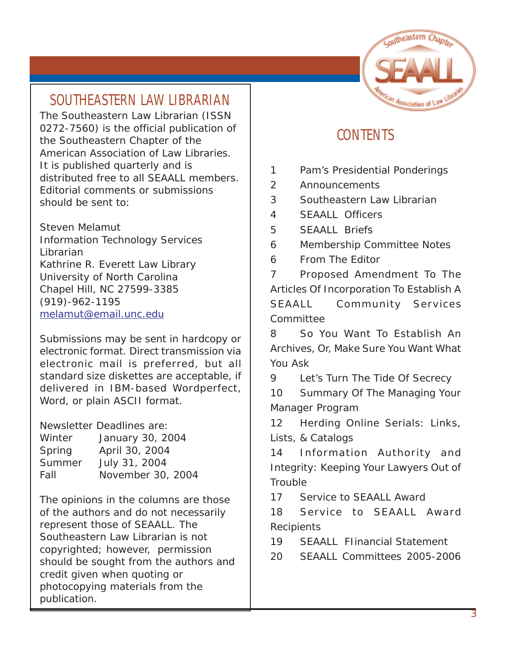# coutheastern Chapter

# **SOUTHEASTERN LAW LIBRARIAN**

The Southeastern Law Librarian (ISSN 0272-7560) is the official publication of the Southeastern Chapter of the American Association of Law Libraries. It is published quarterly and is distributed free to all SEAALL members. Editorial comments or submissions should be sent to:

Steven Melamut Information Technology Services Librarian Kathrine R. Everett Law Library University of North Carolina Chapel Hill, NC 27599-3385 (919)-962-1195 [melamut@email.unc.edu](mailto:melamut@email.unc.edu)

Submissions may be sent in hardcopy or electronic format. Direct transmission via electronic mail is preferred, but all standard size diskettes are acceptable, if delivered in IBM-based Wordperfect, Word, or plain ASCII format.

Newsletter Deadlines are: Winter January 30, 2004 Spring April 30, 2004 Summer July 31, 2004 Fall November 30, 2004

The opinions in the columns are those of the authors and do not necessarily represent those of SEAALL. The Southeastern Law Librarian is not copyrighted; however, permission should be sought from the authors and credit given when quoting or photocopying materials from the publication.

# **CONTENTS**

- [1 Pam's Presidential Ponderings](#page-0-0)
- [2 Announcements](#page-1-0)
- 3 Southeastern Law Librarian
- [4 SEAALL Officers](#page-3-0)
- [5 SEAALL Briefs](#page-4-0)
- [6 Membership Committee Notes](#page-5-0)
- [6 From The Editor](#page-5-0)

[7 Proposed Amendment To The](#page-6-0) [Articles Of Incorporation To Establish A](#page-6-0) SEAALL Community Services [Committee](#page-6-0)

[8 So You Want To Establish An](#page-7-0) [Archives, Or, Make Sure You Want What](#page-7-0) [You Ask](#page-7-0)

[9 Let's Turn The Tide Of Secrecy](#page-8-0)

[10 Summary Of The Managing Your](#page-9-0) [Manager Program](#page-9-0)

[12 Herding Online Serials: Links,](#page-11-0) [Lists, & Catalogs](#page-11-0)

[14 Information Authority and](#page-13-0) [Integrity: Keeping Your Lawyers Out of](#page-13-0) **[Trouble](#page-13-0)** 

[17 Service to SEAALL Award](#page-16-0)

[18 Service to SEAALL Award](#page-17-0) **[Recipients](#page-17-0)** 

[19 SEAALL FIinancial Statement](#page-18-0)

[20 SEAALL Committees 2005-2006](#page-19-0)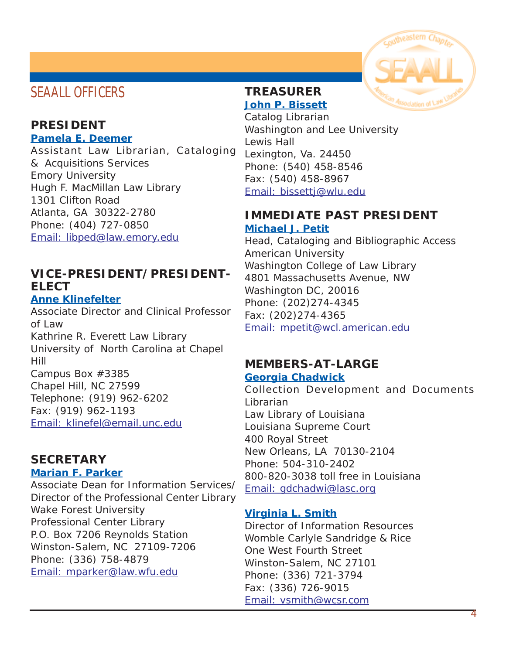# <span id="page-3-0"></span>**SEAALL OFFICERS**

#### **PRESIDENT Pamela E. Deemer**

Assistant Law Librarian, Cataloging & Acquisitions Services Emory University Hugh F. MacMillan Law Library 1301 Clifton Road Atlanta, GA 30322-2780 Phone: (404) 727-0850 [Email: libped@law.emory.edu](mailto:libped@law.emory.edu)

#### **VICE-PRESIDENT/PRESIDENT-ELECT**

#### **Anne Klinefelter**

Associate Director and Clinical Professor of Law Kathrine R. Everett Law Library University of North Carolina at Chapel Hill Campus Box #3385 Chapel Hill, NC 27599 Telephone: (919) 962-6202 Fax: (919) 962-1193 [Email: klinefel@email.unc.edu](mailto:klinefel@email.unc.edu)

#### **SECRETARY**

#### **Marian F. Parker**

Associate Dean for Information Services/ Director of the Professional Center Library Wake Forest University Professional Center Library P.O. Box 7206 Reynolds Station Winston-Salem, NC 27109-7206 Phone: (336) 758-4879 [Email: mparker@law.wfu.edu](mailto:mparker@law.wfu.edu)



#### **TREASURER John P. Bissett**

Catalog Librarian Washington and Lee University Lewis Hall Lexington, Va. 24450 Phone: (540) 458-8546 Fax: (540) 458-8967 [Email: bissettj@wlu.edu](mailto:bissettj@wlu.edu)

#### **IMMEDIATE PAST PRESIDENT Michael J. Petit**

Head, Cataloging and Bibliographic Access American University Washington College of Law Library 4801 Massachusetts Avenue, NW Washington DC, 20016 Phone: (202)274-4345 Fax: (202)274-4365 [Email: mpetit@wcl.american.edu](mailto:mpetit@wcl.american.edu)

# **MEMBERS-AT-LARGE**

#### **Georgia Chadwick**

Collection Development and Documents Librarian Law Library of Louisiana Louisiana Supreme Court 400 Royal Street New Orleans, LA 70130-2104 Phone: 504-310-2402 800-820-3038 toll free in Louisiana [Email: gdchadwi@lasc.org](mailto:gdchadwi@lasc.org)

#### **Virginia L. Smith**

Director of Information Resources Womble Carlyle Sandridge & Rice One West Fourth Street Winston-Salem, NC 27101 Phone: (336) 721-3794 Fax: (336) 726-9015 [Email: vsmith@wcsr.com](mailto:vsmith@wcsr.com)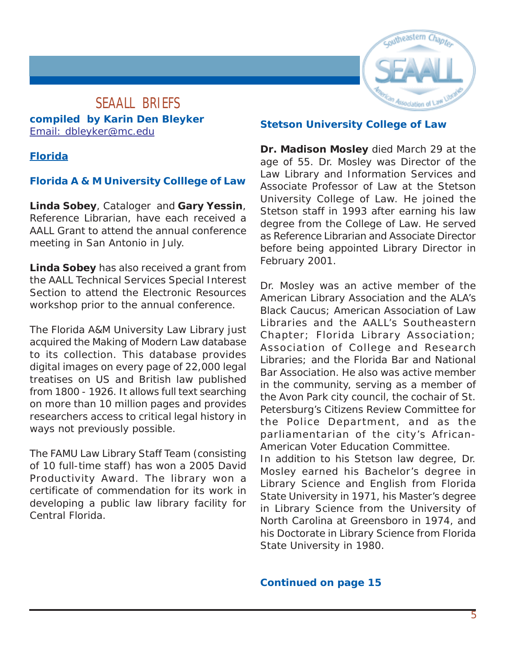

#### <span id="page-4-0"></span>**SEAALL BRIEFS compiled by Karin Den Bleyker** [Email: dbleyker@mc.edu](mailto:dbleyker@mc.edu)

#### **Florida**

#### **Florida A & M University Colllege of Law**

**Linda Sobey**, Cataloger and **Gary Yessin**, Reference Librarian, have each received a AALL Grant to attend the annual conference meeting in San Antonio in July.

**Linda Sobey** has also received a grant from the AALL Technical Services Special Interest Section to attend the Electronic Resources workshop prior to the annual conference.

The Florida A&M University Law Library just acquired the Making of Modern Law database to its collection. This database provides digital images on every page of 22,000 legal treatises on US and British law published from 1800 - 1926. It allows full text searching on more than 10 million pages and provides researchers access to critical legal history in ways not previously possible.

The FAMU Law Library Staff Team (consisting of 10 full-time staff) has won a 2005 David Productivity Award. The library won a certificate of commendation for its work in developing a public law library facility for Central Florida.

#### **Stetson University College of Law**

**Dr. Madison Mosley** died March 29 at the age of 55. Dr. Mosley was Director of the Law Library and Information Services and Associate Professor of Law at the Stetson University College of Law. He joined the Stetson staff in 1993 after earning his law degree from the College of Law. He served as Reference Librarian and Associate Director before being appointed Library Director in February 2001.

Dr. Mosley was an active member of the American Library Association and the ALA's Black Caucus; American Association of Law Libraries and the AALL's Southeastern Chapter; Florida Library Association; Association of College and Research Libraries; and the Florida Bar and National Bar Association. He also was active member in the community, serving as a member of the Avon Park city council, the cochair of St. Petersburg's Citizens Review Committee for the Police Department, and as the parliamentarian of the city's African-American Voter Education Committee.

In addition to his Stetson law degree, Dr. Mosley earned his Bachelor's degree in Library Science and English from Florida State University in 1971, his Master's degree in Library Science from the University of North Carolina at Greensboro in 1974, and his Doctorate in Library Science from Florida State University in 1980.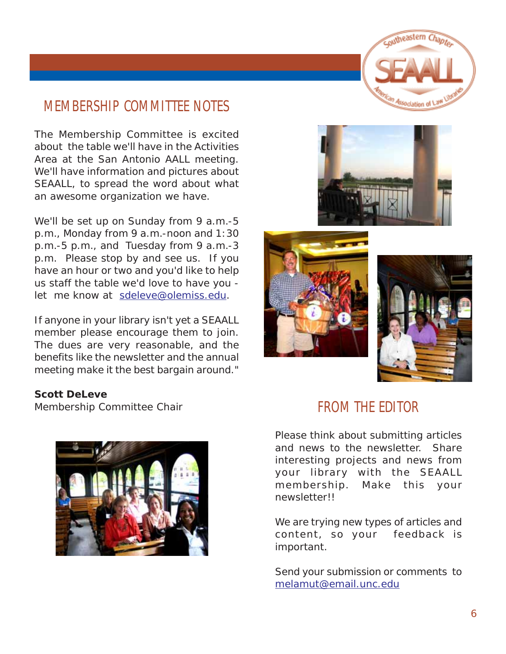

# <span id="page-5-0"></span>**MEMBERSHIP COMMITTEE NOTES**

The Membership Committee is excited about the table we'll have in the Activities Area at the San Antonio AALL meeting. We'll have information and pictures about SEAALL, to spread the word about what an awesome organization we have.

We'll be set up on Sunday from 9 a.m.-5 p.m., Monday from 9 a.m.-noon and 1:30 p.m.-5 p.m., and Tuesday from 9 a.m.-3 p.m. Please stop by and see us. If you have an hour or two and you'd like to help us staff the table we'd love to have you let me know at [sdeleve@olemiss.edu.](mailto:sdeleve@olemiss.edu)

If anyone in your library isn't yet a SEAALL member please encourage them to join. The dues are very reasonable, and the benefits like the newsletter and the annual meeting make it the best bargain around."

#### **Scott DeLeve**

Membership Committee Chair









# **FROM THE EDITOR**

Please think about submitting articles and news to the newsletter. Share interesting projects and news from your library with the SEAALL membership. Make this your newsletter!!

We are trying new types of articles and content, so your feedback is important.

Send your submission or comments to [melamut@email.unc.edu](mailto:melamut@email.unc.edu)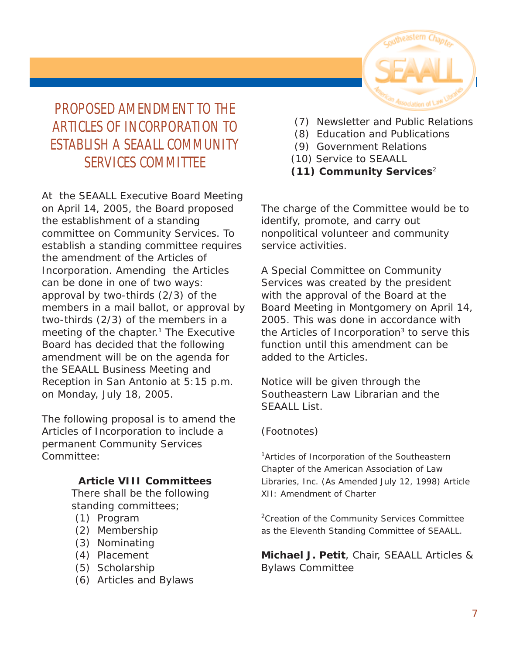

# <span id="page-6-0"></span>**PROPOSED AMENDMENT TO THE ARTICLES OF INCORPORATION TO ESTABLISH A SEAALL COMMUNITY SERVICES COMMITTEE**

At the SEAALL Executive Board Meeting on April 14, 2005, the Board proposed the establishment of a standing committee on Community Services. To establish a standing committee requires the amendment of the Articles of Incorporation. Amending the Articles can be done in one of two ways: approval by two-thirds (2/3) of the members in a mail ballot, or approval by two-thirds (2/3) of the members in a meeting of the chapter.<sup>1</sup> The Executive Board has decided that the following amendment will be on the agenda for the SEAALL Business Meeting and Reception in San Antonio at 5:15 p.m. on Monday, July 18, 2005.

The following proposal is to amend the Articles of Incorporation to include a permanent Community Services Committee:

#### **Article VIII Committees**

There shall be the following standing committees;

- (1) Program
- (2) Membership
- (3) Nominating
- (4) Placement
- (5) Scholarship
- (6) Articles and Bylaws
- (7) Newsletter and Public Relations
- (8) Education and Publications
- (9) Government Relations
- (10) Service to SEAALL
- **(11) Community Services**<sup>2</sup>

The charge of the Committee would be to identify, promote, and carry out nonpolitical volunteer and community service activities.

A Special Committee on Community Services was created by the president with the approval of the Board at the Board Meeting in Montgomery on April 14, 2005. This was done in accordance with the Articles of Incorporation $3$  to serve this function until this amendment can be added to the Articles.

Notice will be given through the *Southeastern Law Librarian* and the SEAALL List.

#### (Footnotes)

<sup>1</sup>*Articles of Incorporation of the Southeastern Chapter of the American Association of Law Libraries, Inc. (As Amended July 12, 1998) Article XII: Amendment of Charter*

<sup>2</sup>*Creation of the Community Services Committee as the Eleventh Standing Committee of SEAALL.*

**Michael J. Petit**, Chair, SEAALL Articles & Bylaws Committee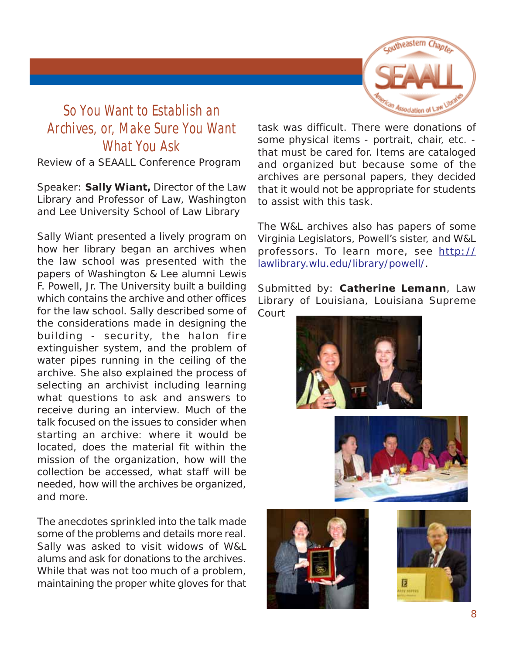

# <span id="page-7-0"></span>**So You Want to Establish an Archives, or, Make Sure You Want What You Ask**

Review of a SEAALL Conference Program

Speaker: **Sally Wiant,** Director of the Law Library and Professor of Law, Washington and Lee University School of Law Library

Sally Wiant presented a lively program on how her library began an archives when the law school was presented with the papers of Washington & Lee alumni Lewis F. Powell, Jr. The University built a building which contains the archive and other offices for the law school. Sally described some of the considerations made in designing the building - security, the halon fire extinguisher system, and the problem of water pipes running in the ceiling of the archive. She also explained the process of selecting an archivist including learning what questions to ask and answers to receive during an interview. Much of the talk focused on the issues to consider when starting an archive: where it would be located, does the material fit within the mission of the organization, how will the collection be accessed, what staff will be needed, how will the archives be organized, and more.

The anecdotes sprinkled into the talk made some of the problems and details more real. Sally was asked to visit widows of W&L alums and ask for donations to the archives. While that was not too much of a problem, maintaining the proper white gloves for that task was difficult. There were donations of some physical items - portrait, chair, etc. that must be cared for. Items are cataloged and organized but because some of the archives are personal papers, they decided that it would not be appropriate for students to assist with this task.

The W&L archives also has papers of some Virginia Legislators, Powell's sister, and W&L professors. To learn more, see [http://](http://lawlibrary.wlu.edu/library/powell/) [lawlibrary.wlu.edu/library/powell/.](http://lawlibrary.wlu.edu/library/powell/)

Submitted by: **Catherine Lemann**, Law Library of Louisiana, Louisiana Supreme Court





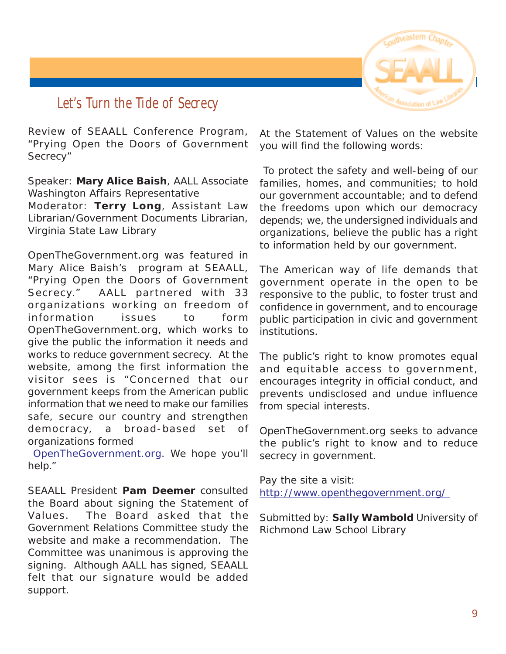

# <span id="page-8-0"></span>**Let's Turn the Tide of Secrecy**

Review of SEAALL Conference Program, "Prying Open the Doors of Government Secrecy"

Speaker: **Mary Alice Baish**, AALL Associate Washington Affairs Representative Moderator: **Terry Long**, Assistant Law Librarian/Government Documents Librarian, Virginia State Law Library

OpenTheGovernment.org was featured in Mary Alice Baish's program at SEAALL, "Prying Open the Doors of Government Secrecy." AALL partnered with 33 organizations working on freedom of information issues to form OpenTheGovernment.org, which works to give the public the information it needs and works to reduce government secrecy. At the website, among the first information the visitor sees is "Concerned that our government keeps from the American public information that we need to make our families safe, secure our country and strengthen democracy, a broad-based set of organizations formed

[OpenTheGovernment.org.](http://openthegovernment.org/) We hope you'll help."

SEAALL President **Pam Deemer** consulted the Board about signing the Statement of Values. The Board asked that the Government Relations Committee study the website and make a recommendation. The Committee was unanimous is approving the signing. Although AALL has signed, SEAALL felt that our signature would be added support.

At the Statement of Values on the website you will find the following words:

 To protect the safety and well-being of our families, homes, and communities; to hold our government accountable; and to defend the freedoms upon which our democracy depends; we, the undersigned individuals and organizations, believe the public has a right to information held by our government.

The American way of life demands that government operate in the open to be responsive to the public, to foster trust and confidence in government, and to encourage public participation in civic and government institutions.

The public's right to know promotes equal and equitable access to government, encourages integrity in official conduct, and prevents undisclosed and undue influence from special interests.

OpenTheGovernment.org seeks to advance the public's right to know and to reduce secrecy in government.

Pay the site a visit: [http://www.openthegovernment.org/](http://openthegovernment.org/) 

Submitted by: **Sally Wambold** University of Richmond Law School Library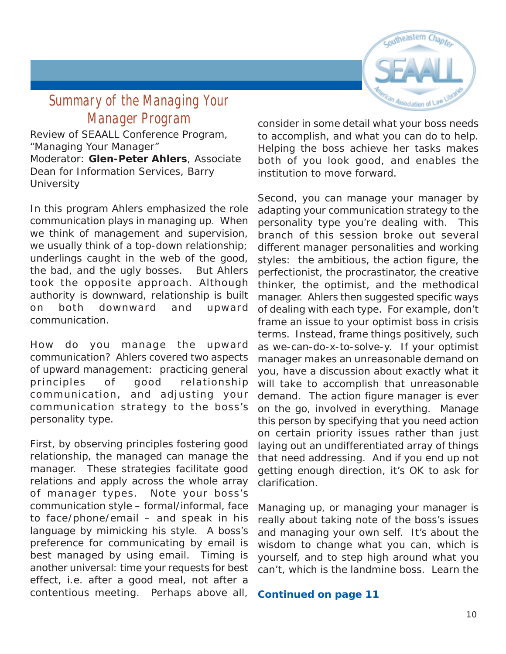

# <span id="page-9-0"></span>**Summary of the Managing Your Manager Program**

Review of SEAALL Conference Program, "Managing Your Manager" Moderator: **Glen-Peter Ahlers**, Associate Dean for Information Services, Barry **University** 

In this program Ahlers emphasized the role communication plays in managing up. When we think of management and supervision, we usually think of a top-down relationship; underlings caught in the web of the good, the bad, and the ugly bosses. But Ahlers took the opposite approach. Although authority is downward, relationship is built on both downward *and* upward communication.

How do you manage the upward communication? Ahlers covered two aspects of upward management: practicing general principles of good relationship communication, and adjusting your communication strategy to the boss's personality type.

First, by observing principles fostering good relationship, the managed can manage the manager. These strategies facilitate good relations and apply across the whole array of manager types. Note your boss's communication style – formal/informal, face to face/phone/email – and speak in his language by mimicking his style. A boss's preference for communicating by email is best managed by using email. Timing is another universal: time your requests for best effect, i.e. after a good meal, not after a contentious meeting. Perhaps above all,

consider in some detail what your boss needs to accomplish, and what you can do to help. Helping the boss achieve her tasks makes both of you look good, and enables the institution to move forward.

Second, you can manage your manager by adapting your communication strategy to the personality type you're dealing with. This branch of this session broke out several different manager personalities and working styles: the ambitious, the action figure, the perfectionist, the procrastinator, the creative thinker, the optimist, and the methodical manager. Ahlers then suggested specific ways of dealing with each type. For example, don't frame an issue to your optimist boss in crisis terms. Instead, frame things positively, such as we-can-do-x-to-solve-y. If your optimist manager makes an unreasonable demand on you, have a discussion about exactly what it will take to accomplish that unreasonable demand. The action figure manager is ever on the go, involved in everything. Manage this person by specifying that you need action on certain priority issues rather than just laying out an undifferentiated array of things that need addressing. And if you end up not getting enough direction, it's OK to ask for clarification.

Managing up, or managing your manager is really about taking note of the boss's issues and managing your own self. It's about the wisdom to change what you can, which is yourself, and to step high around what you can't, which is the landmine boss. Learn the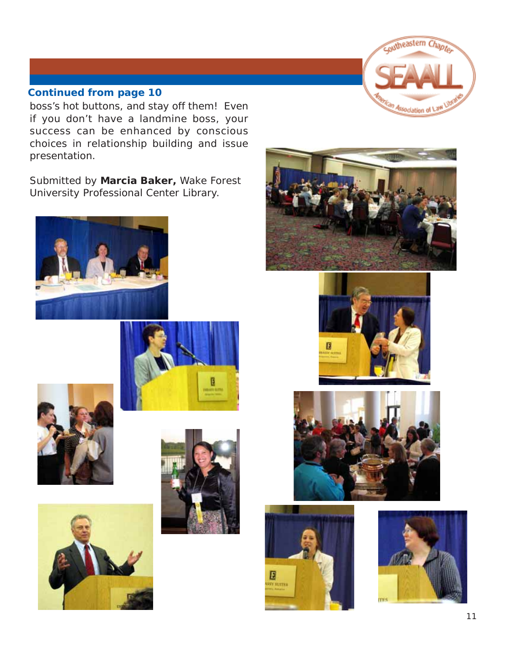

boss's hot buttons, and stay off them! Even if you don't have a landmine boss, your success can be enhanced by conscious choices in relationship building and issue presentation.

Submitted by **Marcia Baker,** Wake Forest University Professional Center Library.

















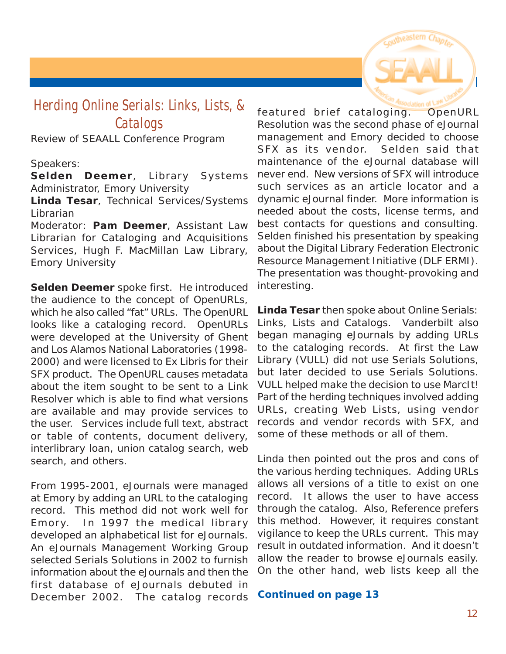

# <span id="page-11-0"></span>**Herding Online Serials: Links, Lists, & Catalogs**

Review of SEAALL Conference Program

Speakers:

**Selden Deemer**, Library Systems Administrator, Emory University

**Linda Tesar**, Technical Services/Systems Librarian

Moderator: **Pam Deemer**, Assistant Law Librarian for Cataloging and Acquisitions Services, Hugh F. MacMillan Law Library, Emory University

**Selden Deemer** spoke first. He introduced the audience to the concept of OpenURLs, which he also called "fat" URLs. The OpenURL looks like a cataloging record. OpenURLs were developed at the University of Ghent and Los Alamos National Laboratories (1998- 2000) and were licensed to Ex Libris for their SFX product. The OpenURL causes metadata about the item sought to be sent to a Link Resolver which is able to find what versions are available and may provide services to the user. Services include full text, abstract or table of contents, document delivery, interlibrary loan, union catalog search, web search, and others.

From 1995-2001, eJournals were managed at Emory by adding an URL to the cataloging record. This method did not work well for Emory. In 1997 the medical library developed an alphabetical list for eJournals. An eJournals Management Working Group selected Serials Solutions in 2002 to furnish information about the eJournals and then the first database of eJournals debuted in December 2002. The catalog records

featured brief cataloging. OpenURL Resolution was the second phase of eJournal management and Emory decided to choose SFX as its vendor. Selden said that maintenance of the eJournal database will never end. New versions of SFX will introduce such services as an article locator and a dynamic eJournal finder. More information is needed about the costs, license terms, and best contacts for questions and consulting. Selden finished his presentation by speaking about the Digital Library Federation Electronic Resource Management Initiative (DLF ERMI). The presentation was thought-provoking and interesting.

**Linda Tesar** then spoke about Online Serials: Links, Lists and Catalogs. Vanderbilt also began managing eJournals by adding URLs to the cataloging records. At first the Law Library (VULL) did not use Serials Solutions, but later decided to use Serials Solutions. VULL helped make the decision to use MarcIt! Part of the herding techniques involved adding URLs, creating Web Lists, using vendor records and vendor records with SFX, and some of these methods or all of them.

Linda then pointed out the pros and cons of the various herding techniques. Adding URLs allows all versions of a title to exist on one record. It allows the user to have access through the catalog. Also, Reference prefers this method. However, it requires constant vigilance to keep the URLs current. This may result in outdated information. And it doesn't allow the reader to browse eJournals easily. On the other hand, web lists keep all the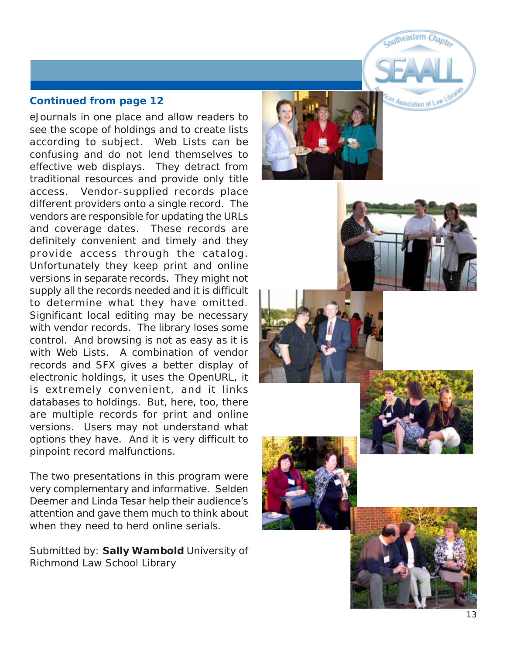eJournals in one place and allow readers to see the scope of holdings and to create lists according to subject. Web Lists can be confusing and do not lend themselves to effective web displays. They detract from traditional resources and provide only title access. Vendor-supplied records place different providers onto a single record. The vendors are responsible for updating the URLs and coverage dates. These records are definitely convenient and timely and they provide access through the catalog. Unfortunately they keep print and online versions in separate records. They might not supply all the records needed and it is difficult to determine what they have omitted. Significant local editing may be necessary with vendor records. The library loses some control. And browsing is not as easy as it is with Web Lists. A combination of vendor records and SFX gives a better display of electronic holdings, it uses the OpenURL, it is extremely convenient, and it links databases to holdings. But, here, too, there are multiple records for print and online versions. Users may not understand what options they have. And it is very difficult to pinpoint record malfunctions.

The two presentations in this program were very complementary and informative. Selden Deemer and Linda Tesar help their audience's attention and gave them much to think about when they need to herd online serials.

Submitted by: **Sally Wambold** University of Richmond Law School Library





coutheastern Chapt

Association of L







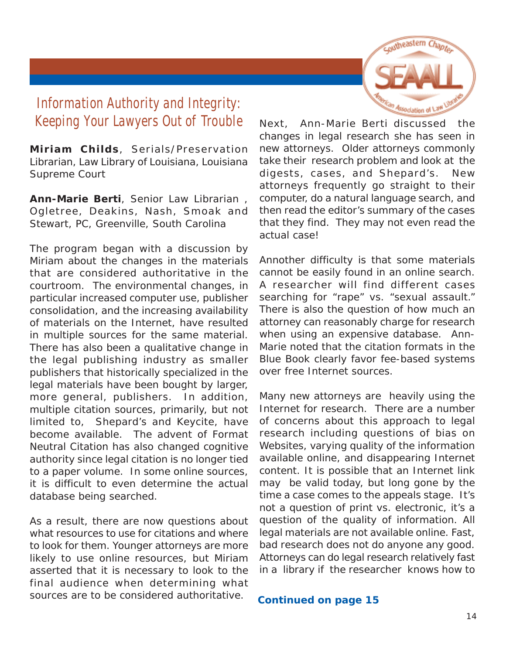

# <span id="page-13-0"></span>**Information Authority and Integrity: Keeping Your Lawyers Out of Trouble**

**Miriam Childs**, Serials/Preservation Librarian, Law Library of Louisiana, Louisiana Supreme Court

**Ann-Marie Berti**, Senior Law Librarian , Ogletree, Deakins, Nash, Smoak and Stewart, PC, Greenville, South Carolina

The program began with a discussion by Miriam about the changes in the materials that are considered authoritative in the courtroom. The environmental changes, in particular increased computer use, publisher consolidation, and the increasing availability of materials on the Internet, have resulted in multiple sources for the same material. There has also been a qualitative change in the legal publishing industry as smaller publishers that historically specialized in the legal materials have been bought by larger, more general, publishers. In addition, multiple citation sources, primarily, but not limited to, Shepard's and Keycite, have become available. The advent of Format Neutral Citation has also changed cognitive authority since legal citation is no longer tied to a paper volume. In some online sources, it is difficult to even determine the actual database being searched.

As a result, there are now questions about what resources to use for citations and where to look for them. Younger attorneys are more likely to use online resources, but Miriam asserted that it is necessary to look to the final audience when determining what sources are to be considered authoritative.

Next, Ann-Marie Berti discussed the changes in legal research she has seen in new attorneys. Older attorneys commonly take their research problem and look at the digests, cases, and Shepard's. New attorneys frequently go straight to their computer, do a natural language search, and then read the editor's summary of the cases that they find. They may not even read the actual case!

Annother difficulty is that some materials cannot be easily found in an online search. A researcher will find different cases searching for "rape" vs. "sexual assault." There is also the question of how much an attorney can reasonably charge for research when using an expensive database. Ann-Marie noted that the citation formats in the Blue Book clearly favor fee-based systems over free Internet sources.

Many new attorneys are heavily using the Internet for research. There are a number of concerns about this approach to legal research including questions of bias on Websites, varying quality of the information available online, and disappearing Internet content. It is possible that an Internet link may be valid today, but long gone by the time a case comes to the appeals stage. It's not a question of print vs. electronic, it's a question of the quality of information. All legal materials are not available online. Fast, bad research does not do anyone any good. Attorneys can do legal research relatively fast in a library if the researcher knows how to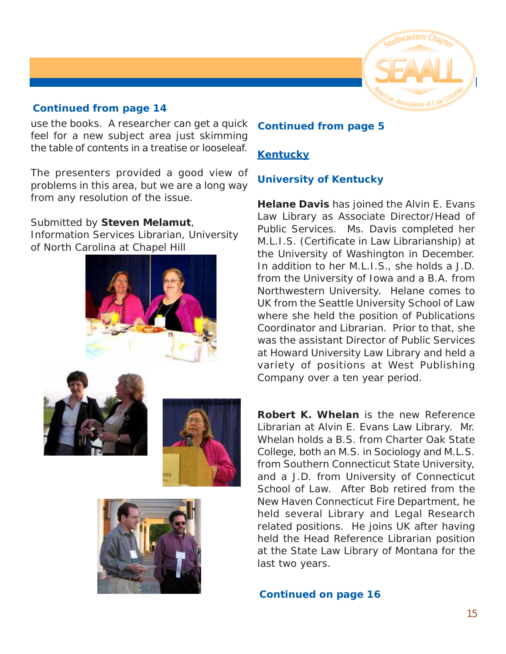

use the books. A researcher can get a quick feel for a new subject area just skimming the table of contents in a treatise or looseleaf.

The presenters provided a good view of problems in this area, but we are a long way from any resolution of the issue.

Submitted by **Steven Melamut**,

Information Services Librarian, University of North Carolina at Chapel Hill









#### **Continued from page 5**

#### **Kentucky**

#### **University of Kentucky**

**Helane Davis** has joined the Alvin E. Evans Law Library as Associate Director/Head of Public Services. Ms. Davis completed her M.L.I.S. (Certificate in Law Librarianship) at the University of Washington in December. In addition to her M.L.I.S., she holds a J.D. from the University of Iowa and a B.A. from Northwestern University. Helane comes to UK from the Seattle University School of Law where she held the position of Publications Coordinator and Librarian. Prior to that, she was the assistant Director of Public Services at Howard University Law Library and held a variety of positions at West Publishing Company over a ten year period.

**Robert K. Whelan** is the new Reference Librarian at Alvin E. Evans Law Library. Mr. Whelan holds a B.S. from Charter Oak State College, both an M.S. in Sociology and M.L.S. from Southern Connecticut State University, and a J.D. from University of Connecticut School of Law. After Bob retired from the New Haven Connecticut Fire Department, he held several Library and Legal Research related positions. He joins UK after having held the Head Reference Librarian position at the State Law Library of Montana for the last two years.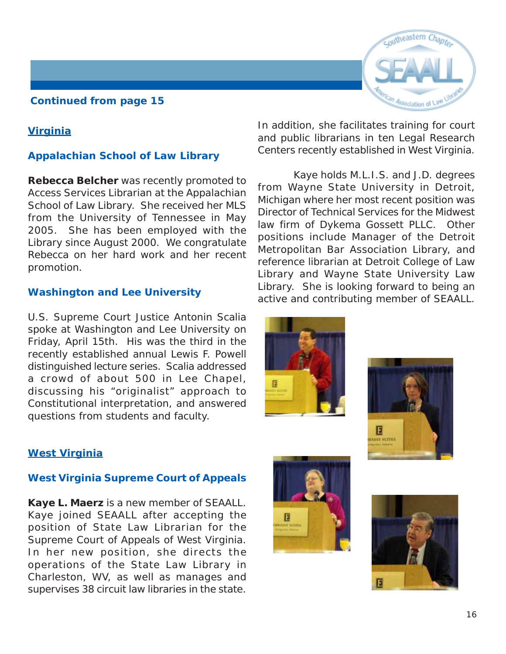#### **Virginia**

#### **Appalachian School of Law Library**

**Rebecca Belcher** was recently promoted to Access Services Librarian at the Appalachian School of Law Library. She received her MLS from the University of Tennessee in May 2005. She has been employed with the Library since August 2000. We congratulate Rebecca on her hard work and her recent promotion.

#### **Washington and Lee University**

U.S. Supreme Court Justice Antonin Scalia spoke at Washington and Lee University on Friday, April 15th. His was the third in the recently established annual Lewis F. Powell distinguished lecture series. Scalia addressed a crowd of about 500 in Lee Chapel, discussing his "originalist" approach to Constitutional interpretation, and answered questions from students and faculty.

#### **West Virginia**

#### **West Virginia Supreme Court of Appeals**

**Kaye L. Maerz** is a new member of SEAALL. Kaye joined SEAALL after accepting the position of State Law Librarian for the Supreme Court of Appeals of West Virginia. In her new position, she directs the operations of the State Law Library in Charleston, WV, as well as manages and supervises 38 circuit law libraries in the state.



In addition, she facilitates training for court and public librarians in ten Legal Research Centers recently established in West Virginia.

 Kaye holds M.L.I.S. and J.D. degrees from Wayne State University in Detroit, Michigan where her most recent position was Director of Technical Services for the Midwest law firm of Dykema Gossett PLLC. Other positions include Manager of the Detroit Metropolitan Bar Association Library, and reference librarian at Detroit College of Law Library and Wayne State University Law Library. She is looking forward to being an active and contributing member of SEAALL.







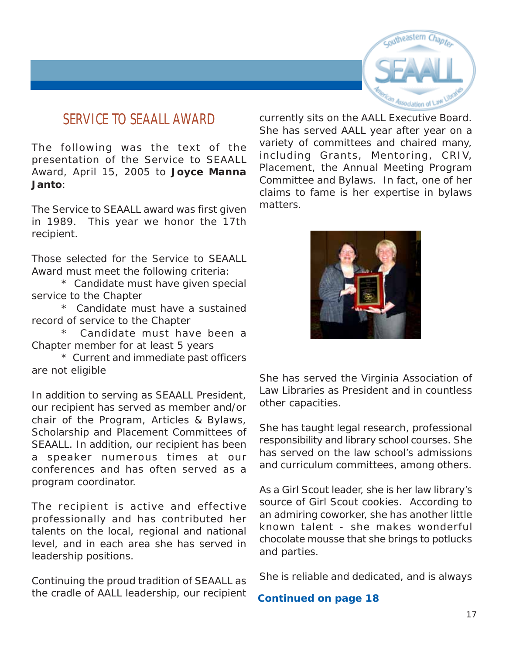

## <span id="page-16-0"></span>**SERVICE TO SEAALL AWARD**

The following was the text of the presentation of the Service to SEAALL Award, April 15, 2005 to **Joyce Manna Janto**:

The Service to SEAALL award was first given in 1989. This year we honor the 17th recipient.

Those selected for the Service to SEAALL Award must meet the following criteria:

\* Candidate must have given special service to the Chapter

\* Candidate must have a sustained record of service to the Chapter

Candidate must have been a Chapter member for at least 5 years

\* Current and immediate past officers are not eligible

In addition to serving as SEAALL President, our recipient has served as member and/or chair of the Program, Articles & Bylaws, Scholarship and Placement Committees of SEAALL. In addition, our recipient has been a speaker numerous times at our conferences and has often served as a program coordinator.

The recipient is active and effective professionally and has contributed her talents on the local, regional and national level, and in each area she has served in leadership positions.

Continuing the proud tradition of SEAALL as the cradle of AALL leadership, our recipient currently sits on the AALL Executive Board. She has served AALL year after year on a variety of committees and chaired many, including Grants, Mentoring, CRIV, Placement, the Annual Meeting Program Committee and Bylaws. In fact, one of her claims to fame is her expertise in bylaws matters.



She has served the Virginia Association of Law Libraries as President and in countless other capacities.

She has taught legal research, professional responsibility and library school courses. She has served on the law school's admissions and curriculum committees, among others.

As a Girl Scout leader, she is her law library's source of Girl Scout cookies. According to an admiring coworker, she has another little known talent - she makes wonderful chocolate mousse that she brings to potlucks and parties.

She is reliable and dedicated, and is always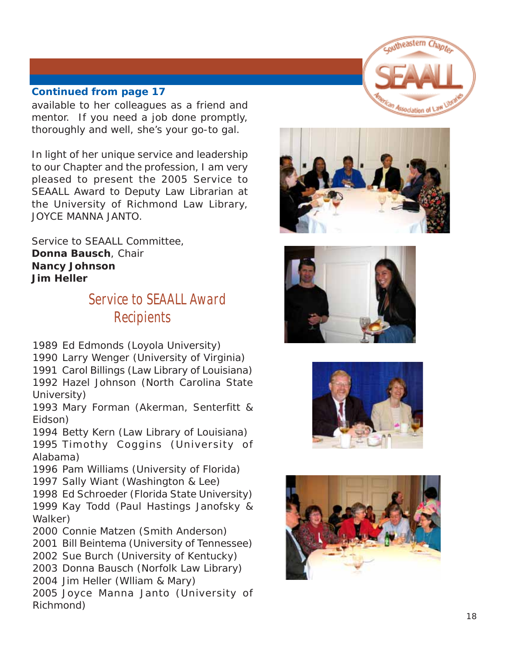<span id="page-17-0"></span>available to her colleagues as a friend and mentor. If you need a job done promptly, thoroughly and well, she's your go-to gal.

In light of her unique service and leadership to our Chapter and the profession, I am very pleased to present the 2005 Service to SEAALL Award to Deputy Law Librarian at the University of Richmond Law Library, JOYCE MANNA JANTO.

Service to SEAALL Committee, **Donna Bausch**, Chair **Nancy Johnson Jim Heller**

# **Service to SEAALL Award Recipients**

1989 Ed Edmonds (Loyola University)

1990 Larry Wenger (University of Virginia)

1991 Carol Billings (Law Library of Louisiana) 1992 Hazel Johnson (North Carolina State University)

1993 Mary Forman (Akerman, Senterfitt & Eidson)

1994 Betty Kern (Law Library of Louisiana) 1995 Timothy Coggins (University of Alabama)

1996 Pam Williams (University of Florida) 1997 Sally Wiant (Washington & Lee)

1998 Ed Schroeder (Florida State University) 1999 Kay Todd (Paul Hastings Janofsky & Walker)

2000 Connie Matzen (Smith Anderson)

2001 Bill Beintema (University of Tennessee)

2002 Sue Burch (University of Kentucky)

2003 Donna Bausch (Norfolk Law Library)

2004 Jim Heller (Wlliam & Mary) 2005 Joyce Manna Janto (University of

Richmond)

coutheastern Chapte Association of La







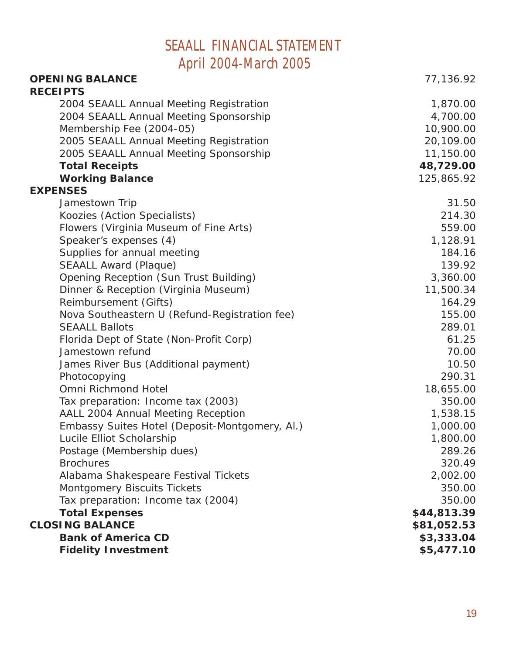# **SEAALL FINANCIAL STATEMENT April 2004-March 2005**

<span id="page-18-0"></span>

| <b>OPENING BALANCE</b>                         | 77,136.92   |
|------------------------------------------------|-------------|
| <b>RECEIPTS</b>                                |             |
| 2004 SEAALL Annual Meeting Registration        | 1,870.00    |
| 2004 SEAALL Annual Meeting Sponsorship         | 4,700.00    |
| Membership Fee (2004-05)                       | 10,900.00   |
| 2005 SEAALL Annual Meeting Registration        | 20,109.00   |
| 2005 SEAALL Annual Meeting Sponsorship         | 11,150.00   |
| <b>Total Receipts</b>                          | 48,729.00   |
| <b>Working Balance</b>                         | 125,865.92  |
| <b>EXPENSES</b>                                |             |
| Jamestown Trip                                 | 31.50       |
| Koozies (Action Specialists)                   | 214.30      |
| Flowers (Virginia Museum of Fine Arts)         | 559.00      |
| Speaker's expenses (4)                         | 1,128.91    |
| Supplies for annual meeting                    | 184.16      |
| <b>SEAALL Award (Plaque)</b>                   | 139.92      |
| Opening Reception (Sun Trust Building)         | 3,360.00    |
| Dinner & Reception (Virginia Museum)           | 11,500.34   |
| Reimbursement (Gifts)                          | 164.29      |
| Nova Southeastern U (Refund-Registration fee)  | 155.00      |
| <b>SEAALL Ballots</b>                          | 289.01      |
| Florida Dept of State (Non-Profit Corp)        | 61.25       |
| Jamestown refund                               | 70.00       |
| James River Bus (Additional payment)           | 10.50       |
| Photocopying                                   | 290.31      |
| Omni Richmond Hotel                            | 18,655.00   |
| Tax preparation: Income tax (2003)             | 350.00      |
| AALL 2004 Annual Meeting Reception             | 1,538.15    |
| Embassy Suites Hotel (Deposit-Montgomery, Al.) | 1,000.00    |
| Lucile Elliot Scholarship                      | 1,800.00    |
| Postage (Membership dues)                      | 289.26      |
| <b>Brochures</b>                               | 320.49      |
| Alabama Shakespeare Festival Tickets           | 2,002.00    |
| Montgomery Biscuits Tickets                    | 350.00      |
| Tax preparation: Income tax (2004)             | 350.00      |
| <b>Total Expenses</b>                          | \$44,813.39 |
| <b>CLOSING BALANCE</b>                         | \$81,052.53 |
| <b>Bank of America CD</b>                      | \$3,333.04  |
| <b>Fidelity Investment</b>                     | \$5,477.10  |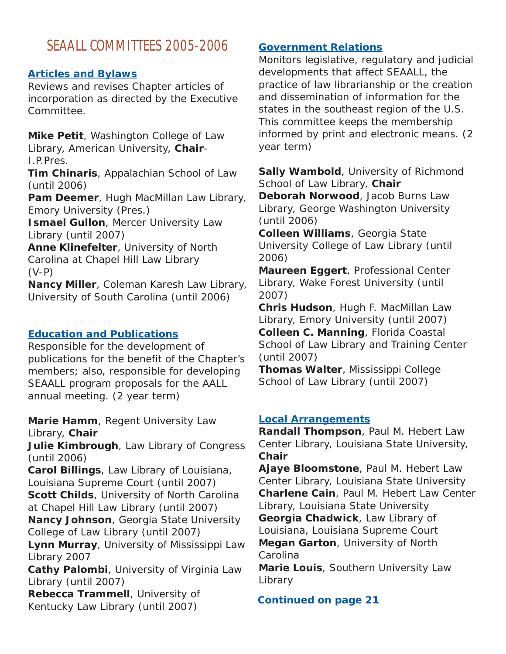# <span id="page-19-0"></span>**SEAALL COMMITTEES 2005-2006**

#### **Articles and Bylaws**

Reviews and revises Chapter articles of incorporation as directed by the Executive Committee.

**Mike Petit**, Washington College of Law Library, American University, **Chair**-I.P.Pres.

**Tim Chinaris**, Appalachian School of Law (until 2006)

Pam Deemer, Hugh MacMillan Law Library, Emory University (Pres.)

**Ismael Gullon, Mercer University Law** Library (until 2007)

**Anne Klinefelter**, University of North Carolina at Chapel Hill Law Library (V-P)

**Nancy Miller**, Coleman Karesh Law Library, University of South Carolina (until 2006)

#### **Education and Publications**

Responsible for the development of publications for the benefit of the Chapter's members; also, responsible for developing SEAALL program proposals for the AALL annual meeting. (2 year term)

**Marie Hamm**, Regent University Law Library, **Chair**

**Julie Kimbrough**, Law Library of Congress (until 2006)

**Carol Billings**, Law Library of Louisiana, Louisiana Supreme Court (until 2007) **Scott Childs**, University of North Carolina at Chapel Hill Law Library (until 2007)

**Nancy Johnson**, Georgia State University College of Law Library (until 2007)

**Lynn Murray**, University of Mississippi Law Library 2007

**Cathy Palombi**, University of Virginia Law Library (until 2007)

**Rebecca Trammell**, University of Kentucky Law Library (until 2007)

#### **Government Relations**

Monitors legislative, regulatory and judicial developments that affect SEAALL, the practice of law librarianship or the creation and dissemination of information for the states in the southeast region of the U.S. This committee keeps the membership informed by print and electronic means. (2 year term)

**Sally Wambold**, University of Richmond School of Law Library, **Chair**

**Deborah Norwood**, Jacob Burns Law Library, George Washington University (until 2006)

**Colleen Williams**, Georgia State University College of Law Library (until 2006)

**Maureen Eggert**, Professional Center Library, Wake Forest University (until 2007)

**Chris Hudson**, Hugh F. MacMillan Law Library, Emory University (until 2007) **Colleen C. Manning**, Florida Coastal School of Law Library and Training Center (until 2007)

**Thomas Walter**, Mississippi College School of Law Library (until 2007)

#### **Local Arrangements**

**Randall Thompson**, Paul M. Hebert Law Center Library, Louisiana State University, **Chair**

**Ajaye Bloomstone**, Paul M. Hebert Law Center Library, Louisiana State University **Charlene Cain**, Paul M. Hebert Law Center Library, Louisiana State University **Georgia Chadwick**, Law Library of Louisiana, Louisiana Supreme Court **Megan Garton**, University of North

Carolina

**Marie Louis**, Southern University Law Library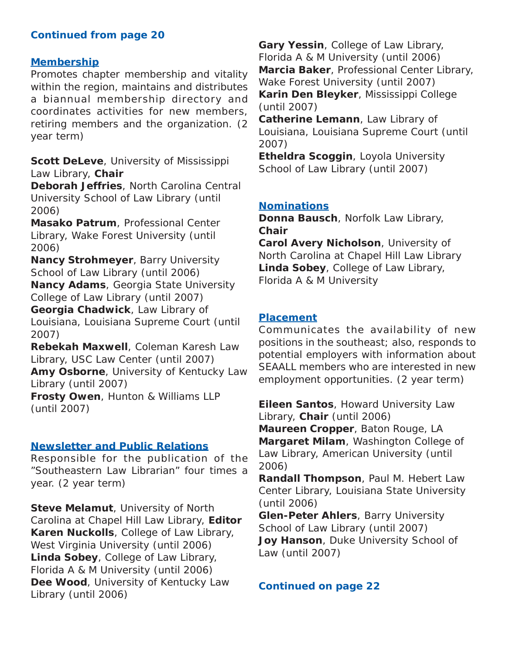#### **Membership**

Promotes chapter membership and vitality within the region, maintains and distributes a biannual membership directory and coordinates activities for new members, retiring members and the organization. (2 year term)

**Scott DeLeve**, University of Mississippi Law Library, **Chair**

**Deborah Jeffries**, North Carolina Central University School of Law Library (until 2006)

**Masako Patrum**, Professional Center Library, Wake Forest University (until 2006)

**Nancy Strohmeyer**, Barry University School of Law Library (until 2006)

**Nancy Adams**, Georgia State University College of Law Library (until 2007)

**Georgia Chadwick**, Law Library of

Louisiana, Louisiana Supreme Court (until 2007)

**Rebekah Maxwell**, Coleman Karesh Law Library, USC Law Center (until 2007) **Amy Osborne**, University of Kentucky Law Library (until 2007)

**Frosty Owen**, Hunton & Williams LLP (until 2007)

#### **Newsletter and Public Relations**

Responsible for the publication of the "Southeastern Law Librarian" four times a year. (2 year term)

**Steve Melamut**, University of North Carolina at Chapel Hill Law Library, **Editor Karen Nuckolls**, College of Law Library, West Virginia University (until 2006) **Linda Sobey**, College of Law Library, Florida A & M University (until 2006) **Dee Wood**, University of Kentucky Law Library (until 2006)

**Gary Yessin**, College of Law Library, Florida A & M University (until 2006) **Marcia Baker**, Professional Center Library, Wake Forest University (until 2007) **Karin Den Bleyker**, Mississippi College (until 2007)

**Catherine Lemann**, Law Library of Louisiana, Louisiana Supreme Court (until 2007)

**Etheldra Scoggin**, Loyola University School of Law Library (until 2007)

#### **Nominations**

**Donna Bausch**, Norfolk Law Library, **Chair**

**Carol Avery Nicholson**, University of North Carolina at Chapel Hill Law Library **Linda Sobey**, College of Law Library, Florida A & M University

#### **Placement**

Communicates the availability of new positions in the southeast; also, responds to potential employers with information about SEAALL members who are interested in new employment opportunities. (2 year term)

**Eileen Santos**, Howard University Law Library, **Chair** (until 2006) **Maureen Cropper**, Baton Rouge, LA **Margaret Milam**, Washington College of Law Library, American University (until 2006)

**Randall Thompson**, Paul M. Hebert Law Center Library, Louisiana State University (until 2006)

**Glen-Peter Ahlers**, Barry University School of Law Library (until 2007) **Joy Hanson**, Duke University School of Law (until 2007)